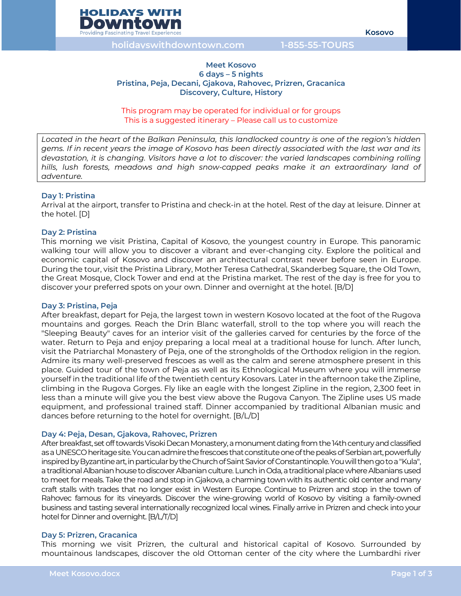

**holidayswithdowntown.com 1-855-55-TOURS**

### **Meet Kosovo 6 days – 5 nights Pristina, Peja, Decani, Gjakova, Rahovec, Prizren, Gracanica Discovery, Culture, History**

This program may be operated for individual or for groups This is a suggested itinerary – Please call us to customize

*Located in the heart of the Balkan Peninsula, this landlocked country is one of the region's hidden gems. If in recent years the image of Kosovo has been directly associated with the last war and its devastation, it is changing. Visitors have a lot to discover: the varied landscapes combining rolling hills, lush forests, meadows and high snow-capped peaks make it an extraordinary land of adventure.* 

#### **Day 1: Pristina**

Arrival at the airport, transfer to Pristina and check-in at the hotel. Rest of the day at leisure. Dinner at the hotel. [D]

#### **Day 2: Pristina**

This morning we visit Pristina, Capital of Kosovo, the youngest country in Europe. This panoramic walking tour will allow you to discover a vibrant and ever-changing city. Explore the political and economic capital of Kosovo and discover an architectural contrast never before seen in Europe. During the tour, visit the Pristina Library, Mother Teresa Cathedral, Skanderbeg Square, the Old Town, the Great Mosque, Clock Tower and end at the Pristina market. The rest of the day is free for you to discover your preferred spots on your own. Dinner and overnight at the hotel. [B/D]

#### **Day 3: Pristina, Peja**

After breakfast, depart for Peja, the largest town in western Kosovo located at the foot of the Rugova mountains and gorges. Reach the Drin Blanc waterfall, stroll to the top where you will reach the "Sleeping Beauty" caves for an interior visit of the galleries carved for centuries by the force of the water. Return to Peja and enjoy preparing a local meal at a traditional house for lunch. After lunch, visit the Patriarchal Monastery of Peja, one of the strongholds of the Orthodox religion in the region. Admire its many well-preserved frescoes as well as the calm and serene atmosphere present in this place. Guided tour of the town of Peja as well as its Ethnological Museum where you will immerse yourself in the traditional life of the twentieth century Kosovars. Later in the afternoon take the Zipline, climbing in the Rugova Gorges. Fly like an eagle with the longest Zipline in the region, 2,300 feet in less than a minute will give you the best view above the Rugova Canyon. The Zipline uses US made equipment, and professional trained staff. Dinner accompanied by traditional Albanian music and dances before returning to the hotel for overnight. [B/L/D]

#### **Day 4: Peja, Desan, Gjakova, Rahovec, Prizren**

After breakfast, set off towards Visoki DecanMonastery, amonument dating from the 14th century and classified as a UNESCO heritage site.You can admire the frescoes thatconstitute one of the peaks of Serbian art, powerfully inspired by Byzantine art, in particular by the Church of Saint Savior of Constantinople.You will then go to a "Kula", a traditional Albanian house to discover Albanian culture. Lunch in Oda, a traditional place where Albanians used to meet for meals. Take the road and stop in Gjakova, a charming town with its authentic old center and many craft stalls with trades that no longer exist in Western Europe. Continue to Prizren and stop in the town of Rahovec famous for its vineyards. Discover the wine-growing world of Kosovo by visiting a family-owned business and tasting several internationally recognized local wines. Finally arrive in Prizren and check into your hotel for Dinner and overnight. [B/L/T/D]

#### **Day 5: Prizren, Gracanica**

This morning we visit Prizren, the cultural and historical capital of Kosovo. Surrounded by mountainous landscapes, discover the old Ottoman center of the city where the Lumbardhi river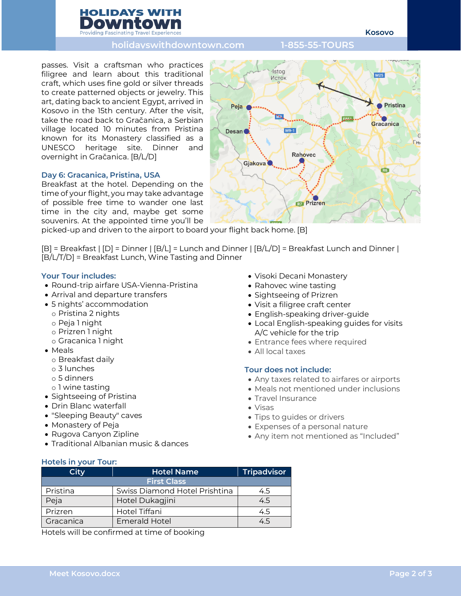# **HOLIDAYS WITH Providing Fascinating Travel Experie**

**Kosovo**

## **holidayswithdowntown.com 1-855-55-TOURS**

passes. Visit a craftsman who practices filigree and learn about this traditional craft, which uses fine gold or silver threads to create patterned objects or jewelry. This art, dating back to ancient Egypt, arrived in Kosovo in the 15th century. After the visit, take the road back to Gračanica, a Serbian village located 10 minutes from Pristina known for its Monastery classified as a UNESCO heritage site. Dinner and overnight in Gračanica. [B/L/D]

## **Day 6: Gracanica, Pristina, USA**

Breakfast at the hotel. Depending on the time of your flight, you may take advantage of possible free time to wander one last time in the city and, maybe get some souvenirs. At the appointed time you'll be

picked-up and driven to the airport to board your flight back home. [B]

[B] = Breakfast | [D] = Dinner | [B/L] = Lunch and Dinner | [B/L/D] = Breakfast Lunch and Dinner | [B/L/T/D] = Breakfast Lunch, Wine Tasting and Dinner

## **Your Tour includes:**

- Round-trip airfare USA-Vienna-Pristina
- Arrival and departure transfers
- 5 nights' accommodation
	- o Pristina 2 nights
	- o Peja 1 night
	- o Prizren 1 night
	- o Gracanica 1 night
- Meals
	- o Breakfast daily
	- o 3 lunches
	- o 5 dinners
	- o 1 wine tasting
- Sightseeing of Pristina
- Drin Blanc waterfall
- "Sleeping Beauty" caves
- Monastery of Peja
- Rugova Canyon Zipline
- Traditional Albanian music & dances
- Visoki Decani Monastery
- Rahovec wine tasting
- Sightseeing of Prizren
- Visit a filigree craft center
- English-speaking driver-guide
- Local English-speaking guides for visits A/C vehicle for the trip
- Entrance fees where required
- All local taxes

## **Tour does not include:**

- Any taxes related to airfares or airports
- Meals not mentioned under inclusions
- Travel Insurance
- Visas
- Tips to guides or drivers
- Expenses of a personal nature
- Any item not mentioned as "Included"

#### **Hotels in your Tour:**

| City               | <b>Hotel Name</b>             | <b>Tripadvisor</b> |
|--------------------|-------------------------------|--------------------|
| <b>First Class</b> |                               |                    |
| Pristina           | Swiss Diamond Hotel Prishtina | 4.5                |
| Peja               | Hotel Dukagjini               | 4.5                |
| Prizren            | Hotel Tiffani                 | 4.5                |
| Gracanica          | <b>Emerald Hotel</b>          | 45                 |

Hotels will be confirmed at time of booking

Istog **M25** Исток **•** Pristina Peja **Tag** Gracanica  $M9-1$ Desan<sup>®</sup> G Гњ Rahovec Gjakova<sup>®</sup> R<sub>6</sub> **R7** Prizren